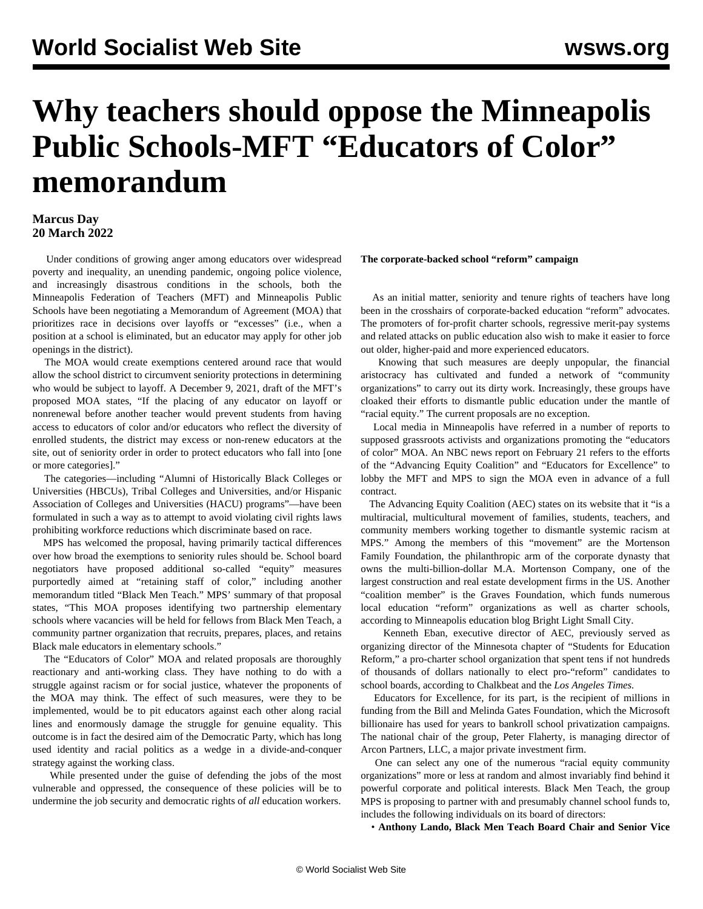# **Why teachers should oppose the Minneapolis Public Schools-MFT "Educators of Color" memorandum**

# **Marcus Day 20 March 2022**

 Under conditions of growing anger among educators over widespread poverty and inequality, an unending pandemic, ongoing police violence, and increasingly disastrous conditions in the schools, both the Minneapolis Federation of Teachers (MFT) and Minneapolis Public Schools have been negotiating a [Memorandum of Agreement \(MOA\)](/en/articles/2021/08/12/minn-a12.html) that prioritizes race in decisions over layoffs or "excesses" (i.e., when a position at a school is eliminated, but an educator may apply for other job openings in the district).

 The MOA would create exemptions centered around race that would allow the school district to circumvent seniority protections in determining who would be subject to layoff. A December 9, 2021, draft of the MFT's proposed MOA states, "If the placing of any educator on layoff or nonrenewal before another teacher would prevent students from having access to educators of color and/or educators who reflect the diversity of enrolled students, the district may excess or non-renew educators at the site, out of seniority order in order to protect educators who fall into [one or more categories]."

 The categories—including "Alumni of Historically Black Colleges or Universities (HBCUs), Tribal Colleges and Universities, and/or Hispanic Association of Colleges and Universities (HACU) programs"—have been formulated in such a way as to attempt to avoid violating civil rights laws prohibiting workforce reductions which discriminate based on race.

 MPS has welcomed the proposal, having primarily tactical differences over how broad the exemptions to seniority rules should be. School board negotiators have proposed additional so-called "equity" measures purportedly aimed at "retaining staff of color," including another memorandum titled "Black Men Teach." MPS' summary of that proposal states, "This MOA proposes identifying two partnership elementary schools where vacancies will be held for fellows from Black Men Teach, a community partner organization that recruits, prepares, places, and retains Black male educators in elementary schools."

 The "Educators of Color" MOA and related proposals are thoroughly reactionary and anti-working class. They have nothing to do with a struggle against racism or for social justice, whatever the proponents of the MOA may think. The effect of such measures, were they to be implemented, would be to pit educators against each other along racial lines and enormously damage the struggle for genuine equality. This outcome is in fact the desired aim of the Democratic Party, which has long used identity and racial politics as a wedge in a divide-and-conquer strategy against the working class.

 While presented under the guise of defending the jobs of the most vulnerable and oppressed, the consequence of these policies will be to undermine the job security and democratic rights of *all* education workers.

### **The corporate-backed school "reform" campaign**

 As an initial matter, seniority and tenure rights of teachers have long been in the crosshairs of corporate-backed education "reform" advocates. The promoters of for-profit charter schools, regressive merit-pay systems and related attacks on public education also wish to make it easier to force out older, higher-paid and more experienced educators.

 Knowing that such measures are deeply unpopular, the financial aristocracy has cultivated and funded a network of "community organizations" to carry out its dirty work. Increasingly, these groups have cloaked their efforts to dismantle public education under the mantle of "racial equity." The current proposals are no exception.

 Local media in Minneapolis have referred in a number of reports to supposed grassroots activists and organizations promoting the "educators of color" MOA. An NBC news report on February 21 refers to the efforts of the "Advancing Equity Coalition" and "Educators for Excellence" to lobby the MFT and MPS to sign the MOA even in advance of a full contract.

 The Advancing Equity Coalition (AEC) states on its website that it "is a multiracial, multicultural movement of families, students, teachers, and community members working together to dismantle systemic racism at MPS." Among the members of this "movement" are the Mortenson Family Foundation, the philanthropic arm of the corporate dynasty that owns the multi-billion-dollar M.A. Mortenson Company, one of the largest construction and real estate development firms in the US. Another "coalition member" is the Graves Foundation, which funds numerous local education "reform" organizations as well as charter schools, according to Minneapolis education blog Bright Light Small City.

 Kenneth Eban, executive director of AEC, previously served as organizing director of the Minnesota chapter of "Students for Education Reform," a pro-charter school organization that spent tens if not hundreds of thousands of dollars nationally to elect pro-"reform" candidates to school boards, according to Chalkbeat and the *Los Angeles Times.*

 Educators for Excellence, for its part, is the recipient of millions in funding from the Bill and Melinda Gates Foundation, which the Microsoft billionaire has used for years to bankroll school privatization campaigns. The national chair of the group, Peter Flaherty, is managing director of Arcon Partners, LLC, a major private investment firm.

 One can select any one of the numerous "racial equity community organizations" more or less at random and almost invariably find behind it powerful corporate and political interests. Black Men Teach, the group MPS is proposing to partner with and presumably channel school funds to, includes the following individuals on its board of directors:

• **Anthony Lando, Black Men Teach Board Chair and Senior Vice**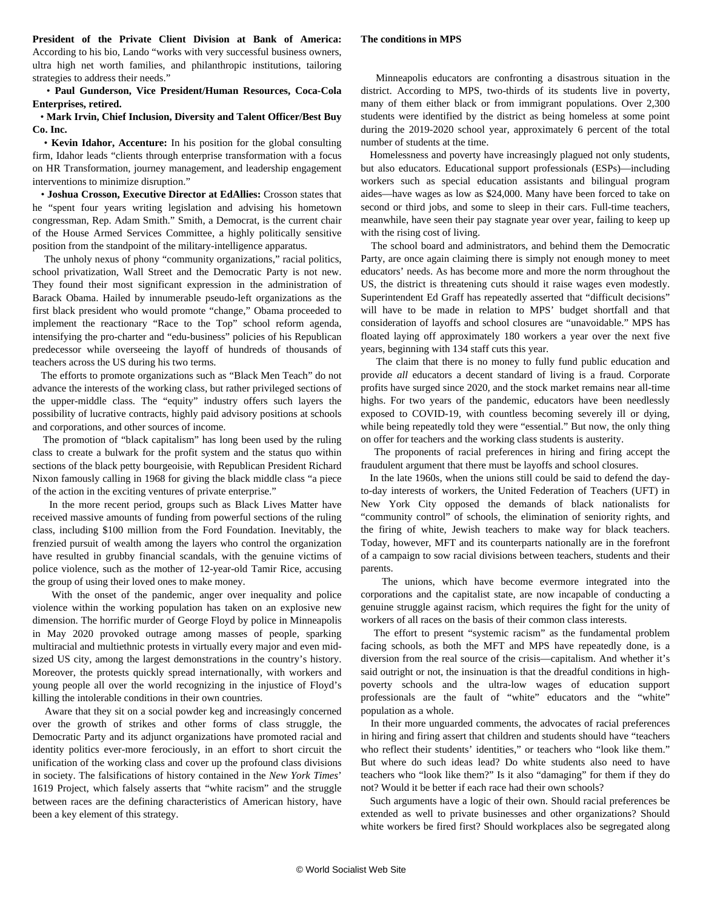## • **Paul Gunderson, Vice President/Human Resources, Coca-Cola Enterprises, retired.**

# • **Mark Irvin, Chief Inclusion, Diversity and Talent Officer/Best Buy Co. Inc.**

 • **Kevin Idahor, Accenture:** In his position for the global consulting firm, Idahor leads "clients through enterprise transformation with a focus on HR Transformation, journey management, and leadership engagement interventions to minimize disruption."

 • **Joshua Crosson, Executive Director at EdAllies:** Crosson states that he "spent four years writing legislation and advising his hometown congressman, Rep. Adam Smith." Smith, a Democrat, is the current chair of the House Armed Services Committee, a highly politically sensitive position from the standpoint of the military-intelligence apparatus.

 The unholy nexus of phony "community organizations," racial politics, school privatization, Wall Street and the Democratic Party is not new. They found their most significant expression in the administration of Barack Obama. Hailed by innumerable pseudo-left organizations as the first black president who would promote "change," Obama proceeded to implement the reactionary ["Race to the Top"](/en/articles/2016/06/03/educ-j03.html) school reform agenda, intensifying the pro-charter and "edu-business" policies of his Republican predecessor while overseeing the layoff of hundreds of thousands of teachers across the US during his two terms.

 The efforts to promote organizations such as "Black Men Teach" do not advance the interests of the working class, but rather privileged sections of the upper-middle class. The "equity" industry offers such layers the possibility of lucrative contracts, highly paid advisory positions at schools and corporations, and other sources of income.

 The promotion of "black capitalism" has long been used by the ruling class to create a bulwark for the profit system and the status quo within sections of the black petty bourgeoisie, with Republican President Richard Nixon famously calling in 1968 for giving the black middle class "a piece of the action in the exciting ventures of private enterprise."

 In the more recent period, groups such as Black Lives Matter have received massive amounts of funding from powerful sections of the ruling class, including \$100 million from the Ford Foundation. Inevitably, the frenzied pursuit of wealth among the layers who control the organization have resulted in grubby [financial scandals](/en/articles/2022/02/25/blac-f25.html), with the genuine victims of police violence, such as the mother of 12-year-old Tamir Rice, accusing the group of using their loved ones to make money.

 With the onset of the pandemic, anger over inequality and police violence within the working population has taken on an explosive new dimension. The horrific murder of [George Floyd](/en/articles/2021/05/25/pers-m25.html) by police in Minneapolis in May 2020 provoked outrage among masses of people, sparking multiracial and multiethnic protests in virtually every major and even midsized US city, among the largest demonstrations in the country's history. Moreover, the protests quickly spread internationally, with workers and young people all over the world recognizing in the injustice of Floyd's killing the intolerable conditions in their own countries.

 Aware that they sit on a social powder keg and increasingly concerned over the growth of strikes and other forms of class struggle, the Democratic Party and its adjunct organizations have promoted racial and identity politics ever-more ferociously, in an effort to short circuit the unification of the working class and cover up the profound class divisions in society. The falsifications of history contained in the *[New York Times](/en/topics/event/1619)*' 1619 Project, which falsely asserts that "white racism" and the struggle between races are the defining characteristics of American history, have been a key element of this strategy.

 Minneapolis educators are confronting a disastrous situation in the district. According to MPS, two-thirds of its students live in poverty, many of them either black or from immigrant populations. Over 2,300 students were identified by the district as being homeless at some point during the 2019-2020 school year, approximately 6 percent of the total number of students at the time.

 Homelessness and poverty have increasingly plagued not only students, but also educators. Educational support professionals (ESPs)—including workers such as special education assistants and bilingual program aides—have wages as low as \$24,000. Many have been forced to take on second or third jobs, and some to sleep in their cars. Full-time teachers, meanwhile, have seen their pay stagnate year over year, failing to keep up with the rising cost of living.

 The school board and administrators, and behind them the Democratic Party, are once again claiming there is simply not enough money to meet educators' needs. As has become more and more the norm throughout the US, the district is threatening cuts should it raise wages even modestly. Superintendent Ed Graff has repeatedly asserted that "difficult decisions" will have to be made in relation to MPS' budget shortfall and that consideration of layoffs and school closures are "unavoidable." MPS has floated laying off approximately 180 workers a year over the next five years, beginning with 134 staff cuts this year.

 The claim that there is no money to fully fund public education and provide *all* educators a decent standard of living is a fraud. Corporate profits have surged since 2020, and the stock market remains near all-time highs. For two years of the pandemic, educators have been needlessly exposed to COVID-19, with countless becoming severely ill or dying, while being repeatedly told they were "essential." But now, the only thing on offer for teachers and the working class students is austerity.

 The proponents of racial preferences in hiring and firing accept the fraudulent argument that there must be layoffs and school closures.

 In the late 1960s, when the unions still could be said to defend the dayto-day interests of workers, the United Federation of Teachers (UFT) in New York City opposed the demands of black nationalists for "community control" of schools, the elimination of seniority rights, and the firing of white, Jewish teachers to make way for black teachers. Today, however, MFT and its counterparts nationally are in the forefront of a campaign to sow racial divisions between teachers, students and their parents.

 The unions, which have become evermore integrated into the corporations and the capitalist state, are now incapable of conducting a genuine struggle against racism, which requires the fight for the unity of workers of all races on the basis of their common class interests.

 The effort to present "systemic racism" as the fundamental problem facing schools, as both the MFT and MPS have repeatedly done, is a diversion from the real source of the crisis—capitalism. And whether it's said outright or not, the insinuation is that the dreadful conditions in highpoverty schools and the ultra-low wages of education support professionals are the fault of "white" educators and the "white" population as a whole.

 In their more unguarded comments, the advocates of racial preferences in hiring and firing assert that children and students should have "teachers who reflect their students' identities," or teachers who "look like them." But where do such ideas lead? Do white students also need to have teachers who "look like them?" Is it also "damaging" for them if they do not? Would it be better if each race had their own schools?

 Such arguments have a logic of their own. Should racial preferences be extended as well to private businesses and other organizations? Should white workers be fired first? Should workplaces also be segregated along